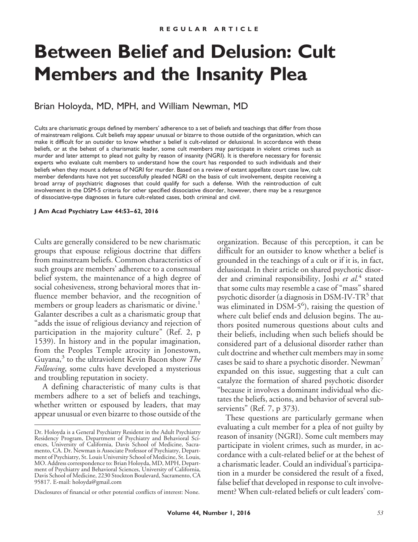# **Between Belief and Delusion: Cult Members and the Insanity Plea**

Brian Holoyda, MD, MPH, and William Newman, MD

Cults are charismatic groups defined by members' adherence to a set of beliefs and teachings that differ from those of mainstream religions. Cult beliefs may appear unusual or bizarre to those outside of the organization, which can make it difficult for an outsider to know whether a belief is cult-related or delusional. In accordance with these beliefs, or at the behest of a charismatic leader, some cult members may participate in violent crimes such as murder and later attempt to plead not guilty by reason of insanity (NGRI). It is therefore necessary for forensic experts who evaluate cult members to understand how the court has responded to such individuals and their beliefs when they mount a defense of NGRI for murder. Based on a review of extant appellate court case law, cult member defendants have not yet successfully pleaded NGRI on the basis of cult involvement, despite receiving a broad array of psychiatric diagnoses that could qualify for such a defense. With the reintroduction of cult involvement in the DSM-5 criteria for other specified dissociative disorder, however, there may be a resurgence of dissociative-type diagnoses in future cult-related cases, both criminal and civil.

**J Am Acad Psychiatry Law 44:53– 62, 2016**

Cults are generally considered to be new charismatic groups that espouse religious doctrine that differs from mainstream beliefs. Common characteristics of such groups are members' adherence to a consensual belief system, the maintenance of a high degree of social cohesiveness, strong behavioral mores that influence member behavior, and the recognition of members or group leaders as charismatic or divine.<sup>1</sup> Galanter describes a cult as a charismatic group that "adds the issue of religious deviancy and rejection of participation in the majority culture" (Ref. 2, p 1539). In history and in the popular imagination, from the Peoples Temple atrocity in Jonestown, Guyana,<sup>3</sup> to the ultraviolent Kevin Bacon show *The Following*, some cults have developed a mysterious and troubling reputation in society.

A defining characteristic of many cults is that members adhere to a set of beliefs and teachings, whether written or espoused by leaders, that may appear unusual or even bizarre to those outside of the

Disclosures of financial or other potential conflicts of interest: None.

organization. Because of this perception, it can be difficult for an outsider to know whether a belief is grounded in the teachings of a cult or if it is, in fact, delusional. In their article on shared psychotic disorder and criminal responsibility, Joshi *et al.*<sup>4</sup> stated that some cults may resemble a case of "mass" shared psychotic disorder (a diagnosis in  $DSM-IV-TR<sup>5</sup>$  that  $\frac{1}{2}$  was eliminated in DSM-5<sup>6</sup>), raising the question of where cult belief ends and delusion begins. The authors posited numerous questions about cults and their beliefs, including when such beliefs should be considered part of a delusional disorder rather than cult doctrine and whether cult members may in some cases be said to share a psychotic disorder. Newman<sup>7</sup> expanded on this issue, suggesting that a cult can catalyze the formation of shared psychotic disorder "because it involves a dominant individual who dictates the beliefs, actions, and behavior of several subservients" (Ref. 7, p 373).

These questions are particularly germane when evaluating a cult member for a plea of not guilty by reason of insanity (NGRI). Some cult members may participate in violent crimes, such as murder, in accordance with a cult-related belief or at the behest of a charismatic leader. Could an individual's participation in a murder be considered the result of a fixed, false belief that developed in response to cult involvement? When cult-related beliefs or cult leaders' com-

Dr. Holoyda is a General Psychiatry Resident in the Adult Psychiatry Residency Program, Department of Psychiatry and Behavioral Sciences, University of California, Davis School of Medicine, Sacramento, CA. Dr. Newman is Associate Professor of Psychiatry, Department of Psychiatry, St. Louis University School of Medicine, St. Louis, MO. Address correspondence to: Brian Holoyda, MD, MPH, Department of Psychiatry and Behavioral Sciences, University of California, Davis School of Medicine, 2230 Stockton Boulevard, Sacramento, CA 95817. E-mail: holoyda@gmail.com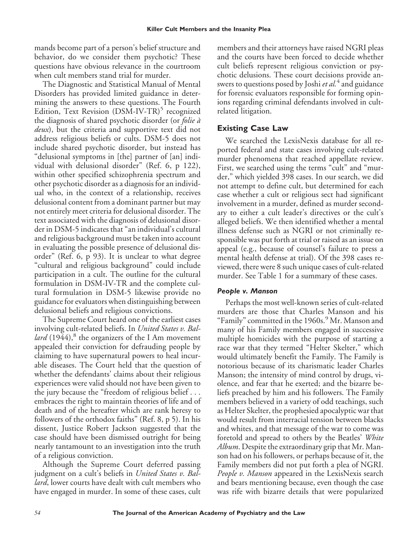mands become part of a person's belief structure and behavior, do we consider them psychotic? These questions have obvious relevance in the courtroom when cult members stand trial for murder.

The Diagnostic and Statistical Manual of Mental Disorders has provided limited guidance in determining the answers to these questions. The Fourth Edition, Text Revision (DSM-IV-TR)<sup>5</sup> recognized the diagnosis of shared psychotic disorder (or *folie a` deux*), but the criteria and supportive text did not address religious beliefs or cults. DSM-5 does not include shared psychotic disorder, but instead has "delusional symptoms in [the] partner of [an] individual with delusional disorder" (Ref. 6, p 122), within other specified schizophrenia spectrum and other psychotic disorder as a diagnosis for an individual who, in the context of a relationship, receives delusional content from a dominant partner but may not entirely meet criteria for delusional disorder. The text associated with the diagnosis of delusional disorder in DSM-5 indicates that "an individual's cultural and religious background must be taken into account in evaluating the possible presence of delusional disorder" (Ref. 6, p 93). It is unclear to what degree "cultural and religious background" could include participation in a cult. The outline for the cultural formulation in DSM-IV-TR and the complete cultural formulation in DSM-5 likewise provide no guidance for evaluators when distinguishing between delusional beliefs and religious convictions.

The Supreme Court heard one of the earliest cases involving cult-related beliefs. In *United States v. Ballard*  $(1944)$ <sup>8</sup>, the organizers of the I Am movement appealed their conviction for defrauding people by claiming to have supernatural powers to heal incurable diseases. The Court held that the question of whether the defendants' claims about their religious experiences were valid should not have been given to the jury because the "freedom of religious belief . . . embraces the right to maintain theories of life and of death and of the hereafter which are rank heresy to followers of the orthodox faiths" (Ref. 8, p 5). In his dissent, Justice Robert Jackson suggested that the case should have been dismissed outright for being nearly tantamount to an investigation into the truth of a religious conviction.

Although the Supreme Court deferred passing judgment on a cult's beliefs in *United States v. Ballard*, lower courts have dealt with cult members who have engaged in murder. In some of these cases, cult members and their attorneys have raised NGRI pleas and the courts have been forced to decide whether cult beliefs represent religious conviction or psychotic delusions. These court decisions provide answers to questions posed by Joshi *et al.*<sup>4</sup> and guidance for forensic evaluators responsible for forming opinions regarding criminal defendants involved in cultrelated litigation.

# **Existing Case Law**

We searched the LexisNexis database for all reported federal and state cases involving cult-related murder phenomena that reached appellate review. First, we searched using the terms "cult" and "murder," which yielded 398 cases. In our search, we did not attempt to define cult, but determined for each case whether a cult or religious sect had significant involvement in a murder, defined as murder secondary to either a cult leader's directives or the cult's alleged beliefs. We then identified whether a mental illness defense such as NGRI or not criminally responsible was put forth at trial or raised as an issue on appeal (e.g., because of counsel's failure to press a mental health defense at trial). Of the 398 cases reviewed, there were 8 such unique cases of cult-related murder. See Table 1 for a summary of these cases.

## *People v. Manson*

Perhaps the most well-known series of cult-related murders are those that Charles Manson and his "Family" committed in the 1960s.<sup>9</sup> Mr. Manson and many of his Family members engaged in successive multiple homicides with the purpose of starting a race war that they termed "Helter Skelter," which would ultimately benefit the Family. The Family is notorious because of its charismatic leader Charles Manson; the intensity of mind control by drugs, violence, and fear that he exerted; and the bizarre beliefs preached by him and his followers. The Family members believed in a variety of odd teachings, such as Helter Skelter, the prophesied apocalyptic war that would result from interracial tension between blacks and whites, and that message of the war to come was foretold and spread to others by the Beatles' *White Album*. Despite the extraordinary grip that Mr. Manson had on his followers, or perhaps because of it, the Family members did not put forth a plea of NGRI. *People v. Manson* appeared in the LexisNexis search and bears mentioning because, even though the case was rife with bizarre details that were popularized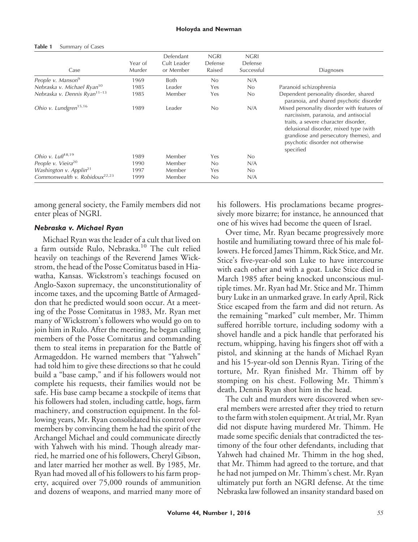#### **Table 1** Summary of Cases

| Case                                      | Year of<br>Murder | Defendant<br>Cult Leader<br>or Member | <b>NGRI</b><br>Defense<br>Raised | <b>NGRI</b><br>Defense<br>Successful | Diagnoses                                                                                                                                                                                                                                                       |
|-------------------------------------------|-------------------|---------------------------------------|----------------------------------|--------------------------------------|-----------------------------------------------------------------------------------------------------------------------------------------------------------------------------------------------------------------------------------------------------------------|
| People v. Manson <sup>9</sup>             | 1969              | <b>Both</b>                           | No                               | N/A                                  |                                                                                                                                                                                                                                                                 |
| Nebraska v. Michael Ryan <sup>10</sup>    | 1985              | Leader                                | Yes                              | No                                   | Paranoid schizophrenia                                                                                                                                                                                                                                          |
| Nebraska v. Dennis Ryan <sup>11-13</sup>  | 1985              | Member                                | Yes                              | No                                   | Dependent personality disorder, shared<br>paranoia, and shared psychotic disorder                                                                                                                                                                               |
| Ohio v. Lundgren <sup>15,16</sup>         | 1989              | Leader                                | No                               | N/A                                  | Mixed personality disorder with features of<br>narcissism, paranoia, and antisocial<br>traits, a severe character disorder,<br>delusional disorder, mixed type (with<br>grandiose and persecutory themes), and<br>psychotic disorder not otherwise<br>specified |
| Ohio v. Luff <sup>18,19</sup>             | 1989              | Member                                | Yes                              | No                                   |                                                                                                                                                                                                                                                                 |
| People v. Vieira <sup>20</sup>            | 1990              | Member                                | No                               | N/A                                  |                                                                                                                                                                                                                                                                 |
| Washington v. Applin <sup>21</sup>        | 1997              | Member                                | Yes                              | No                                   |                                                                                                                                                                                                                                                                 |
| Commonwealth v. Robidoux <sup>22,23</sup> | 1999              | Member                                | No                               | N/A                                  |                                                                                                                                                                                                                                                                 |

among general society, the Family members did not enter pleas of NGRI.

## *Nebraska v. Michael Ryan*

Michael Ryan was the leader of a cult that lived on a farm outside Rulo, Nebraska.<sup>10</sup> The cult relied heavily on teachings of the Reverend James Wickstrom, the head of the Posse Comitatus based in Hiawatha, Kansas. Wickstrom's teachings focused on Anglo-Saxon supremacy, the unconstitutionality of income taxes, and the upcoming Battle of Armageddon that he predicted would soon occur. At a meeting of the Posse Comitatus in 1983, Mr. Ryan met many of Wickstrom's followers who would go on to join him in Rulo. After the meeting, he began calling members of the Posse Comitatus and commanding them to steal items in preparation for the Battle of Armageddon. He warned members that "Yahweh" had told him to give these directions so that he could build a "base camp," and if his followers would not complete his requests, their families would not be safe. His base camp became a stockpile of items that his followers had stolen, including cattle, hogs, farm machinery, and construction equipment. In the following years, Mr. Ryan consolidated his control over members by convincing them he had the spirit of the Archangel Michael and could communicate directly with Yahweh with his mind. Though already married, he married one of his followers, Cheryl Gibson, and later married her mother as well. By 1985, Mr. Ryan had moved all of his followers to his farm property, acquired over 75,000 rounds of ammunition and dozens of weapons, and married many more of his followers. His proclamations became progressively more bizarre; for instance, he announced that one of his wives had become the queen of Israel.

Over time, Mr. Ryan became progressively more hostile and humiliating toward three of his male followers. He forced James Thimm, Rick Stice, and Mr. Stice's five-year-old son Luke to have intercourse with each other and with a goat. Luke Stice died in March 1985 after being knocked unconscious multiple times. Mr. Ryan had Mr. Stice and Mr. Thimm bury Luke in an unmarked grave. In early April, Rick Stice escaped from the farm and did not return. As the remaining "marked" cult member, Mr. Thimm suffered horrible torture, including sodomy with a shovel handle and a pick handle that perforated his rectum, whipping, having his fingers shot off with a pistol, and skinning at the hands of Michael Ryan and his 15-year-old son Dennis Ryan. Tiring of the torture, Mr. Ryan finished Mr. Thimm off by stomping on his chest. Following Mr. Thimm's death, Dennis Ryan shot him in the head.

The cult and murders were discovered when several members were arrested after they tried to return to the farm with stolen equipment. At trial, Mr. Ryan did not dispute having murdered Mr. Thimm. He made some specific denials that contradicted the testimony of the four other defendants, including that Yahweh had chained Mr. Thimm in the hog shed, that Mr. Thimm had agreed to the torture, and that he had not jumped on Mr. Thimm's chest. Mr. Ryan ultimately put forth an NGRI defense. At the time Nebraska law followed an insanity standard based on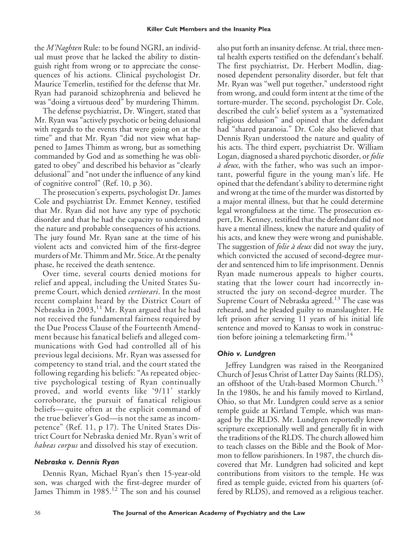the *M'Naghten* Rule: to be found NGRI, an individual must prove that he lacked the ability to distinguish right from wrong or to appreciate the consequences of his actions. Clinical psychologist Dr. Maurice Temerlin, testified for the defense that Mr. Ryan had paranoid schizophrenia and believed he was "doing a virtuous deed" by murdering Thimm.

The defense psychiatrist, Dr. Wingert, stated that Mr. Ryan was "actively psychotic or being delusional with regards to the events that were going on at the time" and that Mr. Ryan "did not view what happened to James Thimm as wrong, but as something commanded by God and as something he was obligated to obey" and described his behavior as "clearly delusional" and "not under the influence of any kind of cognitive control" (Ref. 10, p 36).

The prosecution's experts, psychologist Dr. James Cole and psychiatrist Dr. Emmet Kenney, testified that Mr. Ryan did not have any type of psychotic disorder and that he had the capacity to understand the nature and probable consequences of his actions. The jury found Mr. Ryan sane at the time of his violent acts and convicted him of the first-degree murders of Mr. Thimm and Mr. Stice. At the penalty phase, he received the death sentence.

Over time, several courts denied motions for relief and appeal, including the United States Supreme Court, which denied *certiorari*. In the most recent complaint heard by the District Court of Nebraska in 2003,<sup>11</sup> Mr. Ryan argued that he had not received the fundamental fairness required by the Due Process Clause of the Fourteenth Amendment because his fanatical beliefs and alleged communications with God had controlled all of his previous legal decisions. Mr. Ryan was assessed for competency to stand trial, and the court stated the following regarding his beliefs: "As repeated objective psychological testing of Ryan continually proved, and world events like '9/11' starkly corroborate, the pursuit of fanatical religious beliefs—quite often at the explicit command of the true believer's God—is not the same as incompetence" (Ref. 11, p 17). The United States District Court for Nebraska denied Mr. Ryan's writ of *habeas corpus* and dissolved his stay of execution.

# *Nebraska v. Dennis Ryan*

Dennis Ryan, Michael Ryan's then 15-year-old son, was charged with the first-degree murder of James Thimm in 1985.<sup>12</sup> The son and his counsel

also put forth an insanity defense. At trial, three mental health experts testified on the defendant's behalf. The first psychiatrist, Dr. Herbert Modlin, diagnosed dependent personality disorder, but felt that Mr. Ryan was "well put together," understood right from wrong, and could form intent at the time of the torture-murder. The second, psychologist Dr. Cole, described the cult's belief system as a "systematized religious delusion" and opined that the defendant had "shared paranoia." Dr. Cole also believed that Dennis Ryan understood the nature and quality of his acts. The third expert, psychiatrist Dr. William Logan, diagnosed a shared psychotic disorder, or *folie a` deux*, with the father, who was such an important, powerful figure in the young man's life. He opined that the defendant's ability to determine right and wrong at the time of the murder was distorted by a major mental illness, but that he could determine legal wrongfulness at the time. The prosecution expert, Dr. Kenney, testified that the defendant did not have a mental illness, knew the nature and quality of his acts, and knew they were wrong and punishable. The suggestion of *folie a` deux* did not sway the jury, which convicted the accused of second-degree murder and sentenced him to life imprisonment. Dennis Ryan made numerous appeals to higher courts, stating that the lower court had incorrectly instructed the jury on second-degree murder. The Supreme Court of Nebraska agreed.<sup>13</sup> The case was reheard, and he pleaded guilty to manslaughter. He left prison after serving 11 years of his initial life sentence and moved to Kansas to work in construction before joining a telemarketing firm.<sup>14</sup>

# *Ohio v. Lundgren*

Jeffrey Lundgren was raised in the Reorganized Church of Jesus Christ of Latter Day Saints (RLDS), an offshoot of the Utah-based Mormon Church.<sup>15</sup> In the 1980s, he and his family moved to Kirtland, Ohio, so that Mr. Lundgren could serve as a senior temple guide at Kirtland Temple, which was managed by the RLDS. Mr. Lundgren reportedly knew scripture exceptionally well and generally fit in with the traditions of the RLDS. The church allowed him to teach classes on the Bible and the Book of Mormon to fellow parishioners. In 1987, the church discovered that Mr. Lundgren had solicited and kept contributions from visitors to the temple. He was fired as temple guide, evicted from his quarters (offered by RLDS), and removed as a religious teacher.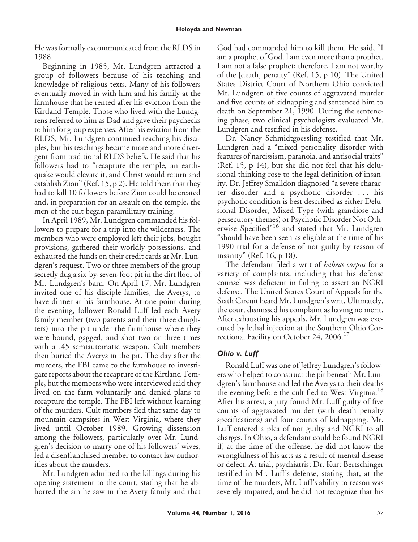He was formally excommunicated from the RLDS in 1988.

Beginning in 1985, Mr. Lundgren attracted a group of followers because of his teaching and knowledge of religious texts. Many of his followers eventually moved in with him and his family at the farmhouse that he rented after his eviction from the Kirtland Temple. Those who lived with the Lundgrens referred to him as Dad and gave their paychecks to him for group expenses. After his eviction from the RLDS, Mr. Lundgren continued teaching his disciples, but his teachings became more and more divergent from traditional RLDS beliefs. He said that his followers had to "recapture the temple, an earthquake would elevate it, and Christ would return and establish Zion" (Ref. 15, p 2). He told them that they had to kill 10 followers before Zion could be created and, in preparation for an assault on the temple, the men of the cult began paramilitary training.

In April 1989, Mr. Lundgren commanded his followers to prepare for a trip into the wilderness. The members who were employed left their jobs, bought provisions, gathered their worldly possessions, and exhausted the funds on their credit cards at Mr. Lundgren's request. Two or three members of the group secretly dug a six-by-seven-foot pit in the dirt floor of Mr. Lundgren's barn. On April 17, Mr. Lundgren invited one of his disciple families, the Averys, to have dinner at his farmhouse. At one point during the evening, follower Ronald Luff led each Avery family member (two parents and their three daughters) into the pit under the farmhouse where they were bound, gagged, and shot two or three times with a .45 semiautomatic weapon. Cult members then buried the Averys in the pit. The day after the murders, the FBI came to the farmhouse to investigate reports about the recapture of the Kirtland Temple, but the members who were interviewed said they lived on the farm voluntarily and denied plans to recapture the temple. The FBI left without learning of the murders. Cult members fled that same day to mountain campsites in West Virginia, where they lived until October 1989. Growing dissension among the followers, particularly over Mr. Lundgren's decision to marry one of his followers' wives, led a disenfranchised member to contact law authorities about the murders.

Mr. Lundgren admitted to the killings during his opening statement to the court, stating that he abhorred the sin he saw in the Avery family and that God had commanded him to kill them. He said, "I am a prophet of God. I am even more than a prophet. I am not a false prophet; therefore, I am not worthy of the [death] penalty" (Ref. 15, p 10). The United States District Court of Northern Ohio convicted Mr. Lundgren of five counts of aggravated murder and five counts of kidnapping and sentenced him to death on September 21, 1990. During the sentencing phase, two clinical psychologists evaluated Mr. Lundgren and testified in his defense.

Dr. Nancy Schmidtgoessling testified that Mr. Lundgren had a "mixed personality disorder with features of narcissism, paranoia, and antisocial traits" (Ref. 15, p 14), but she did not feel that his delusional thinking rose to the legal definition of insanity. Dr. Jeffrey Smalldon diagnosed "a severe character disorder and a psychotic disorder . . . his psychotic condition is best described as either Delusional Disorder, Mixed Type (with grandiose and persecutory themes) or Psychotic Disorder Not Otherwise Specified"<sup>16</sup> and stated that Mr. Lundgren "should have been seen as eligible at the time of his 1990 trial for a defense of not guilty by reason of insanity" (Ref. 16, p 18).

The defendant filed a writ of *habeas corpus* for a variety of complaints, including that his defense counsel was deficient in failing to assert an NGRI defense. The United States Court of Appeals for the Sixth Circuit heard Mr. Lundgren's writ. Ultimately, the court dismissed his complaint as having no merit. After exhausting his appeals, Mr. Lundgren was executed by lethal injection at the Southern Ohio Correctional Facility on October 24, 2006.<sup>17</sup>

# *Ohio v. Luff*

Ronald Luff was one of Jeffrey Lundgren's followers who helped to construct the pit beneath Mr. Lundgren's farmhouse and led the Averys to their deaths the evening before the cult fled to West Virginia.<sup>18</sup> After his arrest, a jury found Mr. Luff guilty of five counts of aggravated murder (with death penalty specifications) and four counts of kidnapping. Mr. Luff entered a plea of not guilty and NGRI to all charges. In Ohio, a defendant could be found NGRI if, at the time of the offense, he did not know the wrongfulness of his acts as a result of mental disease or defect. At trial, psychiatrist Dr. Kurt Bertschinger testified in Mr. Luff's defense, stating that, at the time of the murders, Mr. Luff's ability to reason was severely impaired, and he did not recognize that his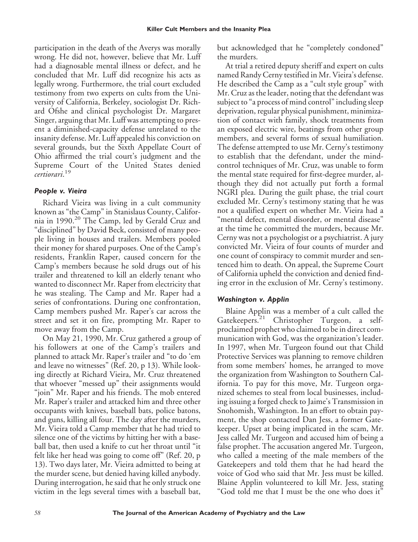participation in the death of the Averys was morally wrong. He did not, however, believe that Mr. Luff had a diagnosable mental illness or defect, and he concluded that Mr. Luff did recognize his acts as legally wrong. Furthermore, the trial court excluded testimony from two experts on cults from the University of California, Berkeley, sociologist Dr. Richard Ofshe and clinical psychologist Dr. Margaret Singer, arguing that Mr. Luff was attempting to present a diminished-capacity defense unrelated to the insanity defense. Mr. Luff appealed his conviction on several grounds, but the Sixth Appellate Court of Ohio affirmed the trial court's judgment and the Supreme Court of the United States denied *certiorari*. 19

## *People v. Vieira*

Richard Vieira was living in a cult community known as "the Camp" in Stanislaus County, California in 1990.<sup>20</sup> The Camp, led by Gerald Cruz and "disciplined" by David Beck, consisted of many people living in houses and trailers. Members pooled their money for shared purposes. One of the Camp's residents, Franklin Raper, caused concern for the Camp's members because he sold drugs out of his trailer and threatened to kill an elderly tenant who wanted to disconnect Mr. Raper from electricity that he was stealing. The Camp and Mr. Raper had a series of confrontations. During one confrontation, Camp members pushed Mr. Raper's car across the street and set it on fire, prompting Mr. Raper to move away from the Camp.

On May 21, 1990, Mr. Cruz gathered a group of his followers at one of the Camp's trailers and planned to attack Mr. Raper's trailer and "to do 'em and leave no witnesses" (Ref. 20, p 13). While looking directly at Richard Vieira, Mr. Cruz threatened that whoever "messed up" their assignments would "join" Mr. Raper and his friends. The mob entered Mr. Raper's trailer and attacked him and three other occupants with knives, baseball bats, police batons, and guns, killing all four. The day after the murders, Mr. Vieira told a Camp member that he had tried to silence one of the victims by hitting her with a baseball bat, then used a knife to cut her throat until "it felt like her head was going to come off" (Ref. 20, p 13). Two days later, Mr. Vieira admitted to being at the murder scene, but denied having killed anybody. During interrogation, he said that he only struck one victim in the legs several times with a baseball bat,

but acknowledged that he "completely condoned" the murders.

At trial a retired deputy sheriff and expert on cults named Randy Cerny testified in Mr. Vieira's defense. He described the Camp as a "cult style group" with Mr. Cruz as the leader, noting that the defendant was subject to "a process of mind control" including sleep deprivation, regular physical punishment, minimization of contact with family, shock treatments from an exposed electric wire, beatings from other group members, and several forms of sexual humiliation. The defense attempted to use Mr. Cerny's testimony to establish that the defendant, under the mindcontrol techniques of Mr. Cruz, was unable to form the mental state required for first-degree murder, although they did not actually put forth a formal NGRI plea. During the guilt phase, the trial court excluded Mr. Cerny's testimony stating that he was not a qualified expert on whether Mr. Vieira had a "mental defect, mental disorder, or mental disease" at the time he committed the murders, because Mr. Cerny was not a psychologist or a psychiatrist. A jury convicted Mr. Vieira of four counts of murder and one count of conspiracy to commit murder and sentenced him to death. On appeal, the Supreme Court of California upheld the conviction and denied finding error in the exclusion of Mr. Cerny's testimony.

# *Washington v. Applin*

Blaine Applin was a member of a cult called the Gatekeepers.<sup>21</sup> Christopher Turgeon, a selfproclaimed prophet who claimed to be in direct communication with God, was the organization's leader. In 1997, when Mr. Turgeon found out that Child Protective Services was planning to remove children from some members' homes, he arranged to move the organization from Washington to Southern California. To pay for this move, Mr. Turgeon organized schemes to steal from local businesses, including issuing a forged check to Jaime's Transmission in Snohomish, Washington. In an effort to obtain payment, the shop contacted Dan Jess, a former Gatekeeper. Upset at being implicated in the scam, Mr. Jess called Mr. Turgeon and accused him of being a false prophet. The accusation angered Mr. Turgeon, who called a meeting of the male members of the Gatekeepers and told them that he had heard the voice of God who said that Mr. Jess must be killed. Blaine Applin volunteered to kill Mr. Jess, stating "God told me that I must be the one who does it"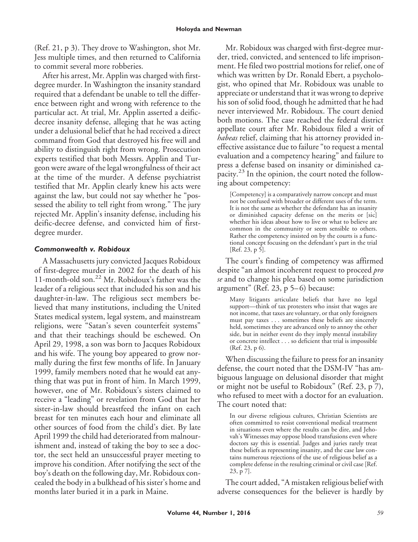(Ref. 21, p 3). They drove to Washington, shot Mr. Jess multiple times, and then returned to California to commit several more robberies.

After his arrest, Mr. Applin was charged with firstdegree murder. In Washington the insanity standard required that a defendant be unable to tell the difference between right and wrong with reference to the particular act. At trial, Mr. Applin asserted a deificdecree insanity defense, alleging that he was acting under a delusional belief that he had received a direct command from God that destroyed his free will and ability to distinguish right from wrong. Prosecution experts testified that both Messrs. Applin and Turgeon were aware of the legal wrongfulness of their act at the time of the murder. A defense psychiatrist testified that Mr. Applin clearly knew his acts were against the law, but could not say whether he "possessed the ability to tell right from wrong." The jury rejected Mr. Applin's insanity defense, including his deific-decree defense, and convicted him of firstdegree murder.

# *Commonwealth v. Robidoux*

A Massachusetts jury convicted Jacques Robidoux of first-degree murder in 2002 for the death of his 11-month-old son.<sup>22</sup> Mr. Robidoux's father was the leader of a religious sect that included his son and his daughter-in-law. The religious sect members believed that many institutions, including the United States medical system, legal system, and mainstream religions, were "Satan's seven counterfeit systems" and that their teachings should be eschewed. On April 29, 1998, a son was born to Jacques Robidoux and his wife. The young boy appeared to grow normally during the first few months of life. In January 1999, family members noted that he would eat anything that was put in front of him. In March 1999, however, one of Mr. Robidoux's sisters claimed to receive a "leading" or revelation from God that her sister-in-law should breastfeed the infant on each breast for ten minutes each hour and eliminate all other sources of food from the child's diet. By late April 1999 the child had deteriorated from malnourishment and, instead of taking the boy to see a doctor, the sect held an unsuccessful prayer meeting to improve his condition. After notifying the sect of the boy's death on the following day, Mr. Robidoux concealed the body in a bulkhead of his sister's home and months later buried it in a park in Maine.

Mr. Robidoux was charged with first-degree murder, tried, convicted, and sentenced to life imprisonment. He filed two posttrial motions for relief, one of which was written by Dr. Ronald Ebert, a psychologist, who opined that Mr. Robidoux was unable to appreciate or understand that it was wrong to deprive his son of solid food, though he admitted that he had never interviewed Mr. Robidoux. The court denied both motions. The case reached the federal district appellate court after Mr. Robidoux filed a writ of *habeas* relief, claiming that his attorney provided ineffective assistance due to failure "to request a mental evaluation and a competency hearing" and failure to press a defense based on insanity or diminished capacity.<sup>23</sup> In the opinion, the court noted the following about competency:

[Competency] is a comparatively narrow concept and must not be confused with broader or different uses of the term. It is not the same as whether the defendant has an insanity or diminished capacity defense on the merits or [sic] whether his ideas about how to live or what to believe are common in the community or seem sensible to others. Rather the competency insisted on by the courts is a functional concept focusing on the defendant's part in the trial [Ref. 23, p 5].

The court's finding of competency was affirmed despite "an almost incoherent request to proceed *pro se* and to change his plea based on some jurisdiction argument" (Ref. 23,  $p$  5–6) because:

Many litigants articulate beliefs that have no legal support—think of tax protesters who insist that wages are not income, that taxes are voluntary, or that only foreigners must pay taxes . . . sometimes these beliefs are sincerely held, sometimes they are advanced only to annoy the other side, but in neither event do they imply mental instability or concrete intellect . . . so deficient that trial is impossible (Ref. 23, p 6).

When discussing the failure to press for an insanity defense, the court noted that the DSM-IV "has ambiguous language on delusional disorder that might or might not be useful to Robidoux" (Ref. 23, p 7), who refused to meet with a doctor for an evaluation. The court noted that:

In our diverse religious cultures, Christian Scientists are often committed to resist conventional medical treatment in situations even where the results can be dire, and Jehovah's Witnesses may oppose blood transfusions even where doctors say this is essential. Judges and juries rarely treat these beliefs as representing insanity, and the case law contains numerous rejections of the use of religious belief as a complete defense in the resulting criminal or civil case [Ref. 23, p 7].

The court added, "A mistaken religious belief with adverse consequences for the believer is hardly by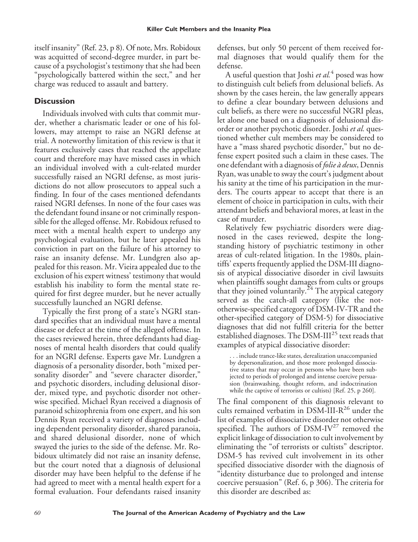itself insanity" (Ref. 23, p 8). Of note, Mrs. Robidoux was acquitted of second-degree murder, in part because of a psychologist's testimony that she had been "psychologically battered within the sect," and her charge was reduced to assault and battery.

## **Discussion**

Individuals involved with cults that commit murder, whether a charismatic leader or one of his followers, may attempt to raise an NGRI defense at trial. A noteworthy limitation of this review is that it features exclusively cases that reached the appellate court and therefore may have missed cases in which an individual involved with a cult-related murder successfully raised an NGRI defense, as most jurisdictions do not allow prosecutors to appeal such a finding. In four of the cases mentioned defendants raised NGRI defenses. In none of the four cases was the defendant found insane or not criminally responsible for the alleged offense. Mr. Robidoux refused to meet with a mental health expert to undergo any psychological evaluation, but he later appealed his conviction in part on the failure of his attorney to raise an insanity defense. Mr. Lundgren also appealed for this reason. Mr. Vieira appealed due to the exclusion of his expert witness' testimony that would establish his inability to form the mental state required for first degree murder, but he never actually successfully launched an NGRI defense.

Typically the first prong of a state's NGRI standard specifies that an individual must have a mental disease or defect at the time of the alleged offense. In the cases reviewed herein, three defendants had diagnoses of mental health disorders that could qualify for an NGRI defense. Experts gave Mr. Lundgren a diagnosis of a personality disorder, both "mixed personality disorder" and "severe character disorder," and psychotic disorders, including delusional disorder, mixed type, and psychotic disorder not otherwise specified. Michael Ryan received a diagnosis of paranoid schizophrenia from one expert, and his son Dennis Ryan received a variety of diagnoses including dependent personality disorder, shared paranoia, and shared delusional disorder, none of which swayed the juries to the side of the defense. Mr. Robidoux ultimately did not raise an insanity defense, but the court noted that a diagnosis of delusional disorder may have been helpful to the defense if he had agreed to meet with a mental health expert for a formal evaluation. Four defendants raised insanity

defenses, but only 50 percent of them received formal diagnoses that would qualify them for the defense.

A useful question that Joshi *et al.*<sup>4</sup> posed was how to distinguish cult beliefs from delusional beliefs. As shown by the cases herein, the law generally appears to define a clear boundary between delusions and cult beliefs, as there were no successful NGRI pleas, let alone one based on a diagnosis of delusional disorder or another psychotic disorder. Joshi *et al.* questioned whether cult members may be considered to have a "mass shared psychotic disorder," but no defense expert posited such a claim in these cases. The one defendant with a diagnosis of *folie a` deux*, Dennis Ryan, was unable to sway the court's judgment about his sanity at the time of his participation in the murders. The courts appear to accept that there is an element of choice in participation in cults, with their attendant beliefs and behavioral mores, at least in the case of murder.

Relatively few psychiatric disorders were diagnosed in the cases reviewed, despite the longstanding history of psychiatric testimony in other areas of cult-related litigation. In the 1980s, plaintiffs' experts frequently applied the DSM-III diagnosis of atypical dissociative disorder in civil lawsuits when plaintiffs sought damages from cults or groups that they joined voluntarily.<sup>24</sup> The atypical category served as the catch-all category (like the nototherwise-specified category of DSM-IV-TR and the other-specified category of DSM-5) for dissociative diagnoses that did not fulfill criteria for the better established diagnoses. The DSM-III<sup>25</sup> text reads that examples of atypical dissociative disorder:

. . . include trance-like states, derealization unaccompanied by depersonalization, and those more prolonged dissociative states that may occur in persons who have been subjected to periods of prolonged and intense coercive persuasion (brainwashing, thought reform, and indoctrination while the captive of terrorists or cultists) [Ref. 25, p 260].

The final component of this diagnosis relevant to cults remained verbatim in DSM-III-R<sup>26</sup> under the list of examples of dissociative disorder not otherwise specified. The authors of DSM-IV<sup>27</sup> removed the explicit linkage of dissociation to cult involvement by eliminating the "of terrorists or cultists" descriptor. DSM-5 has revived cult involvement in its other specified dissociative disorder with the diagnosis of "identity disturbance due to prolonged and intense coercive persuasion" (Ref. 6, p 306). The criteria for this disorder are described as: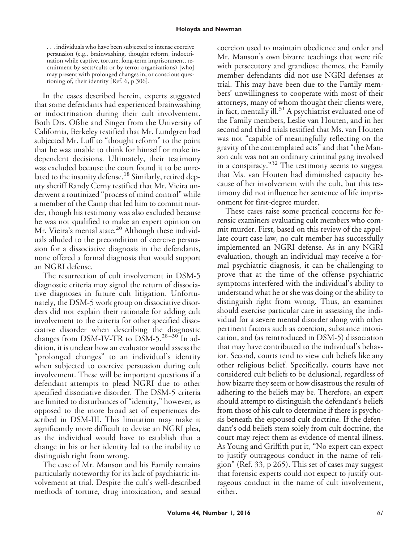. . . individuals who have been subjected to intense coercive persuasion (e.g., brainwashing, thought reform, indoctrination while captive, torture, long-term imprisonment, recruitment by sects/cults or by terror organizations) [who] may present with prolonged changes in, or conscious questioning of, their identity [Ref. 6, p 306].

In the cases described herein, experts suggested that some defendants had experienced brainwashing or indoctrination during their cult involvement. Both Drs. Ofshe and Singer from the University of California, Berkeley testified that Mr. Lundgren had subjected Mr. Luff to "thought reform" to the point that he was unable to think for himself or make independent decisions. Ultimately, their testimony was excluded because the court found it to be unrelated to the insanity defense.<sup>18</sup> Similarly, retired deputy sheriff Randy Cerny testified that Mr. Vieira underwent a routinized "process of mind control" while a member of the Camp that led him to commit murder, though his testimony was also excluded because he was not qualified to make an expert opinion on Mr. Vieira's mental state.<sup>20</sup> Although these individuals alluded to the precondition of coercive persuasion for a dissociative diagnosis in the defendants, none offered a formal diagnosis that would support an NGRI defense.

The resurrection of cult involvement in DSM-5 diagnostic criteria may signal the return of dissociative diagnoses in future cult litigation. Unfortunately, the DSM-5 work group on dissociative disorders did not explain their rationale for adding cult involvement to the criteria for other specified dissociative disorder when describing the diagnostic changes from DSM-IV-TR to DSM-5. $28-30$  In addition, it is unclear how an evaluator would assess the "prolonged changes" to an individual's identity when subjected to coercive persuasion during cult involvement. These will be important questions if a defendant attempts to plead NGRI due to other specified dissociative disorder. The DSM-5 criteria are limited to disturbances of "identity," however, as opposed to the more broad set of experiences described in DSM-III. This limitation may make it significantly more difficult to devise an NGRI plea, as the individual would have to establish that a change in his or her identity led to the inability to distinguish right from wrong.

The case of Mr. Manson and his Family remains particularly noteworthy for its lack of psychiatric involvement at trial. Despite the cult's well-described methods of torture, drug intoxication, and sexual

coercion used to maintain obedience and order and Mr. Manson's own bizarre teachings that were rife with persecutory and grandiose themes, the Family member defendants did not use NGRI defenses at trial. This may have been due to the Family members' unwillingness to cooperate with most of their attorneys, many of whom thought their clients were, in fact, mentally ill.<sup>31</sup> A psychiatrist evaluated one of the Family members, Leslie van Houten, and in her second and third trials testified that Ms. van Houten was not "capable of meaningfully reflecting on the gravity of the contemplated acts" and that "the Manson cult was not an ordinary criminal gang involved in a conspiracy."<sup>32</sup> The testimony seems to suggest that Ms. van Houten had diminished capacity because of her involvement with the cult, but this testimony did not influence her sentence of life imprisonment for first-degree murder.

These cases raise some practical concerns for forensic examiners evaluating cult members who commit murder. First, based on this review of the appellate court case law, no cult member has successfully implemented an NGRI defense. As in any NGRI evaluation, though an individual may receive a formal psychiatric diagnosis, it can be challenging to prove that at the time of the offense psychiatric symptoms interfered with the individual's ability to understand what he or she was doing or the ability to distinguish right from wrong. Thus, an examiner should exercise particular care in assessing the individual for a severe mental disorder along with other pertinent factors such as coercion, substance intoxication, and (as reintroduced in DSM-5) dissociation that may have contributed to the individual's behavior. Second, courts tend to view cult beliefs like any other religious belief. Specifically, courts have not considered cult beliefs to be delusional, regardless of how bizarre they seem or how disastrous the results of adhering to the beliefs may be. Therefore, an expert should attempt to distinguish the defendant's beliefs from those of his cult to determine if there is psychosis beneath the espoused cult doctrine. If the defendant's odd beliefs stem solely from cult doctrine, the court may reject them as evidence of mental illness. As Young and Griffith put it, "No expert can expect to justify outrageous conduct in the name of religion" (Ref. 33, p 265). This set of cases may suggest that forensic experts could not expect to justify outrageous conduct in the name of cult involvement, either.